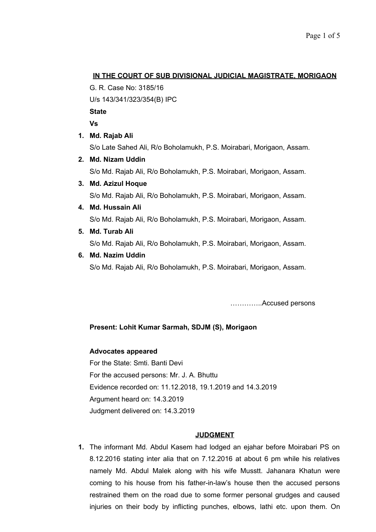## **IN THE COURT OF SUB DIVISIONAL JUDICIAL MAGISTRATE, MORIGAON**

G. R. Case No: 3185/16

U/s 143/341/323/354(B) IPC

**State**

**Vs** 

**1. Md. Rajab Ali**

S/o Late Sahed Ali, R/o Boholamukh, P.S. Moirabari, Morigaon, Assam.

- **2. Md. Nizam Uddin** S/o Md. Rajab Ali, R/o Boholamukh, P.S. Moirabari, Morigaon, Assam.
- **3. Md. Azizul Hoque**

S/o Md. Rajab Ali, R/o Boholamukh, P.S. Moirabari, Morigaon, Assam.

**4. Md. Hussain Ali**

S/o Md. Rajab Ali, R/o Boholamukh, P.S. Moirabari, Morigaon, Assam.

**5. Md. Turab Ali**

S/o Md. Rajab Ali, R/o Boholamukh, P.S. Moirabari, Morigaon, Assam.

## **6. Md. Nazim Uddin**

S/o Md. Rajab Ali, R/o Boholamukh, P.S. Moirabari, Morigaon, Assam.

…………..Accused persons

# **Present: Lohit Kumar Sarmah, SDJM (S), Morigaon**

## **Advocates appeared**

For the State: Smti. Banti Devi For the accused persons: Mr. J. A. Bhuttu Evidence recorded on: 11.12.2018, 19.1.2019 and 14.3.2019 Argument heard on: 14.3.2019 Judgment delivered on: 14.3.2019

## **JUDGMENT**

**1.** The informant Md. Abdul Kasem had lodged an ejahar before Moirabari PS on 8.12.2016 stating inter alia that on 7.12.2016 at about 6 pm while his relatives namely Md. Abdul Malek along with his wife Musstt. Jahanara Khatun were coming to his house from his father-in-law's house then the accused persons restrained them on the road due to some former personal grudges and caused injuries on their body by inflicting punches, elbows, lathi etc. upon them. On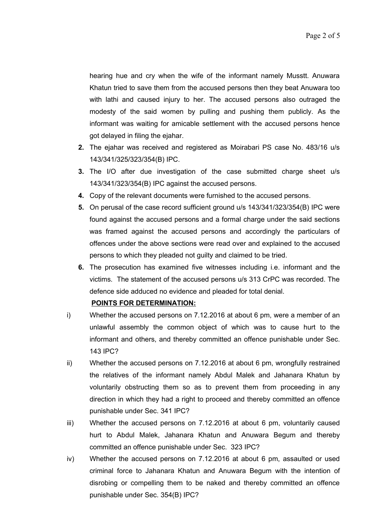hearing hue and cry when the wife of the informant namely Musstt. Anuwara Khatun tried to save them from the accused persons then they beat Anuwara too with lathi and caused injury to her. The accused persons also outraged the modesty of the said women by pulling and pushing them publicly. As the informant was waiting for amicable settlement with the accused persons hence got delayed in filing the ejahar.

- **2.** The ejahar was received and registered as Moirabari PS case No. 483/16 u/s 143/341/325/323/354(B) IPC.
- **3.** The I/O after due investigation of the case submitted charge sheet u/s 143/341/323/354(B) IPC against the accused persons.
- **4.** Copy of the relevant documents were furnished to the accused persons.
- **5.** On perusal of the case record sufficient ground u/s 143/341/323/354(B) IPC were found against the accused persons and a formal charge under the said sections was framed against the accused persons and accordingly the particulars of offences under the above sections were read over and explained to the accused persons to which they pleaded not guilty and claimed to be tried.
- **6.** The prosecution has examined five witnesses including i.e. informant and the victims. The statement of the accused persons u/s 313 CrPC was recorded. The defence side adduced no evidence and pleaded for total denial.

#### **POINTS FOR DETERMINATION:**

- i) Whether the accused persons on 7.12.2016 at about 6 pm, were a member of an unlawful assembly the common object of which was to cause hurt to the informant and others, and thereby committed an offence punishable under Sec. 143 IPC?
- ii) Whether the accused persons on 7.12.2016 at about 6 pm, wrongfully restrained the relatives of the informant namely Abdul Malek and Jahanara Khatun by voluntarily obstructing them so as to prevent them from proceeding in any direction in which they had a right to proceed and thereby committed an offence punishable under Sec. 341 IPC?
- iii) Whether the accused persons on 7.12.2016 at about 6 pm, voluntarily caused hurt to Abdul Malek, Jahanara Khatun and Anuwara Begum and thereby committed an offence punishable under Sec. 323 IPC?
- iv) Whether the accused persons on 7.12.2016 at about 6 pm, assaulted or used criminal force to Jahanara Khatun and Anuwara Begum with the intention of disrobing or compelling them to be naked and thereby committed an offence punishable under Sec. 354(B) IPC?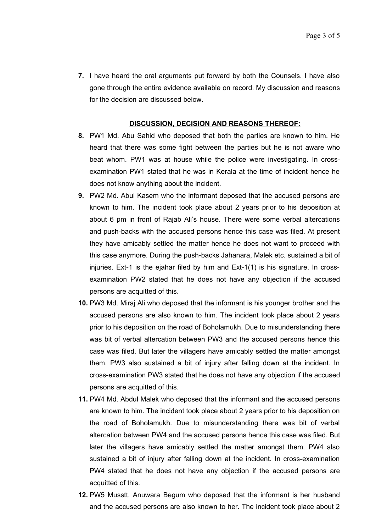**7.** I have heard the oral arguments put forward by both the Counsels. I have also gone through the entire evidence available on record. My discussion and reasons for the decision are discussed below.

#### **DISCUSSION, DECISION AND REASONS THEREOF:**

- **8.** PW1 Md. Abu Sahid who deposed that both the parties are known to him. He heard that there was some fight between the parties but he is not aware who beat whom. PW1 was at house while the police were investigating. In crossexamination PW1 stated that he was in Kerala at the time of incident hence he does not know anything about the incident.
- **9.** PW2 Md. Abul Kasem who the informant deposed that the accused persons are known to him. The incident took place about 2 years prior to his deposition at about 6 pm in front of Rajab Ali's house. There were some verbal altercations and push-backs with the accused persons hence this case was filed. At present they have amicably settled the matter hence he does not want to proceed with this case anymore. During the push-backs Jahanara, Malek etc. sustained a bit of injuries. Ext-1 is the ejahar filed by him and Ext-1(1) is his signature. In crossexamination PW2 stated that he does not have any objection if the accused persons are acquitted of this.
- **10.** PW3 Md. Miraj Ali who deposed that the informant is his younger brother and the accused persons are also known to him. The incident took place about 2 years prior to his deposition on the road of Boholamukh. Due to misunderstanding there was bit of verbal altercation between PW3 and the accused persons hence this case was filed. But later the villagers have amicably settled the matter amongst them. PW3 also sustained a bit of injury after falling down at the incident. In cross-examination PW3 stated that he does not have any objection if the accused persons are acquitted of this.
- **11.** PW4 Md. Abdul Malek who deposed that the informant and the accused persons are known to him. The incident took place about 2 years prior to his deposition on the road of Boholamukh. Due to misunderstanding there was bit of verbal altercation between PW4 and the accused persons hence this case was filed. But later the villagers have amicably settled the matter amongst them. PW4 also sustained a bit of injury after falling down at the incident. In cross-examination PW4 stated that he does not have any objection if the accused persons are acquitted of this.
- **12.** PW5 Musstt. Anuwara Begum who deposed that the informant is her husband and the accused persons are also known to her. The incident took place about 2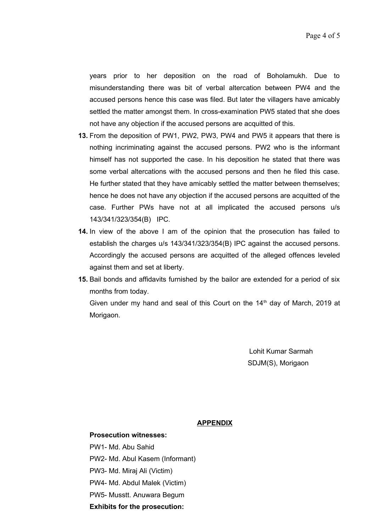years prior to her deposition on the road of Boholamukh. Due to misunderstanding there was bit of verbal altercation between PW4 and the accused persons hence this case was filed. But later the villagers have amicably settled the matter amongst them. In cross-examination PW5 stated that she does not have any objection if the accused persons are acquitted of this.

- **13.** From the deposition of PW1, PW2, PW3, PW4 and PW5 it appears that there is nothing incriminating against the accused persons. PW2 who is the informant himself has not supported the case. In his deposition he stated that there was some verbal altercations with the accused persons and then he filed this case. He further stated that they have amicably settled the matter between themselves; hence he does not have any objection if the accused persons are acquitted of the case. Further PWs have not at all implicated the accused persons u/s 143/341/323/354(B) IPC.
- **14.** In view of the above I am of the opinion that the prosecution has failed to establish the charges u/s 143/341/323/354(B) IPC against the accused persons. Accordingly the accused persons are acquitted of the alleged offences leveled against them and set at liberty.
- **15.** Bail bonds and affidavits furnished by the bailor are extended for a period of six months from today. Given under my hand and seal of this Court on the  $14<sup>th</sup>$  day of March, 2019 at Morigaon.

Lohit Kumar Sarmah SDJM(S), Morigaon

#### **APPENDIX**

**Prosecution witnesses:** PW1- Md. Abu Sahid PW2- Md. Abul Kasem (Informant) PW3- Md. Miraj Ali (Victim) PW4- Md. Abdul Malek (Victim) PW5- Musstt. Anuwara Begum **Exhibits for the prosecution:**